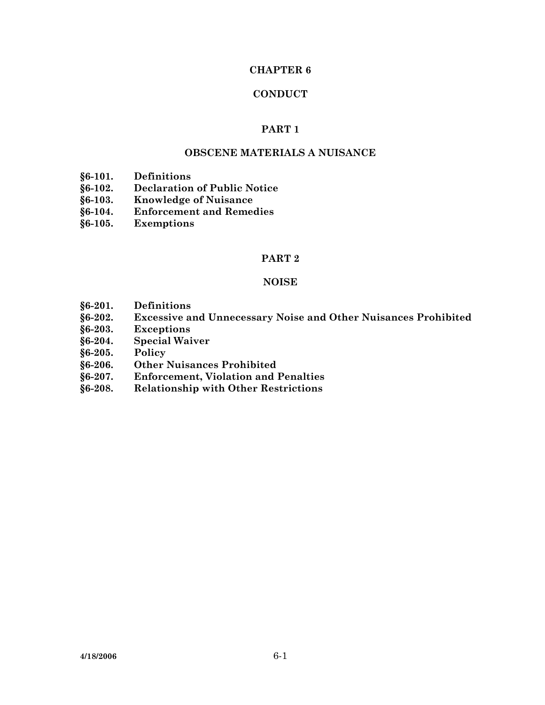# **CHAPTER 6**

### **CONDUCT**

### **PART 1**

### **OBSCENE MATERIALS A NUISANCE**

- **§6-101. Definitions**
- **§6-102. Declaration of Public Notice**
- **§6-103. Knowledge of Nuisance**
- **§6-104. Enforcement and Remedies**
- **§6-105. Exemptions**

#### **PART 2**

#### **NOISE**

- **§6-201. Definitions**
- **§6-202. Excessive and Unnecessary Noise and Other Nuisances Prohibited**
- **§6-203. Exceptions**
- **§6-204. Special Waiver**
- **§6-205. Policy**
- **§6-206. Other Nuisances Prohibited**
- **§6-207. Enforcement, Violation and Penalties**
- **§6-208. Relationship with Other Restrictions**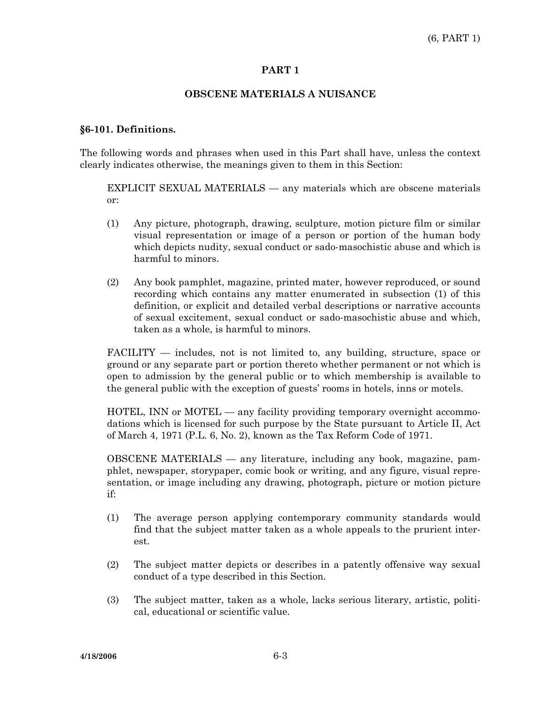#### **PART 1**

### **OBSCENE MATERIALS A NUISANCE**

### **§6-101. Definitions.**

The following words and phrases when used in this Part shall have, unless the context clearly indicates otherwise, the meanings given to them in this Section:

 EXPLICIT SEXUAL MATERIALS — any materials which are obscene materials or:

- (1) Any picture, photograph, drawing, sculpture, motion picture film or similar visual representation or image of a person or portion of the human body which depicts nudity, sexual conduct or sado-masochistic abuse and which is harmful to minors.
- (2) Any book pamphlet, magazine, printed mater, however reproduced, or sound recording which contains any matter enumerated in subsection (1) of this definition, or explicit and detailed verbal descriptions or narrative accounts of sexual excitement, sexual conduct or sado-masochistic abuse and which, taken as a whole, is harmful to minors.

 FACILITY — includes, not is not limited to, any building, structure, space or ground or any separate part or portion thereto whether permanent or not which is open to admission by the general public or to which membership is available to the general public with the exception of guests' rooms in hotels, inns or motels.

 HOTEL, INN or MOTEL — any facility providing temporary overnight accommodations which is licensed for such purpose by the State pursuant to Article II, Act of March 4, 1971 (P.L. 6, No. 2), known as the Tax Reform Code of 1971.

 OBSCENE MATERIALS — any literature, including any book, magazine, pamphlet, newspaper, storypaper, comic book or writing, and any figure, visual representation, or image including any drawing, photograph, picture or motion picture if:

- (1) The average person applying contemporary community standards would find that the subject matter taken as a whole appeals to the prurient interest.
- (2) The subject matter depicts or describes in a patently offensive way sexual conduct of a type described in this Section.
- (3) The subject matter, taken as a whole, lacks serious literary, artistic, political, educational or scientific value.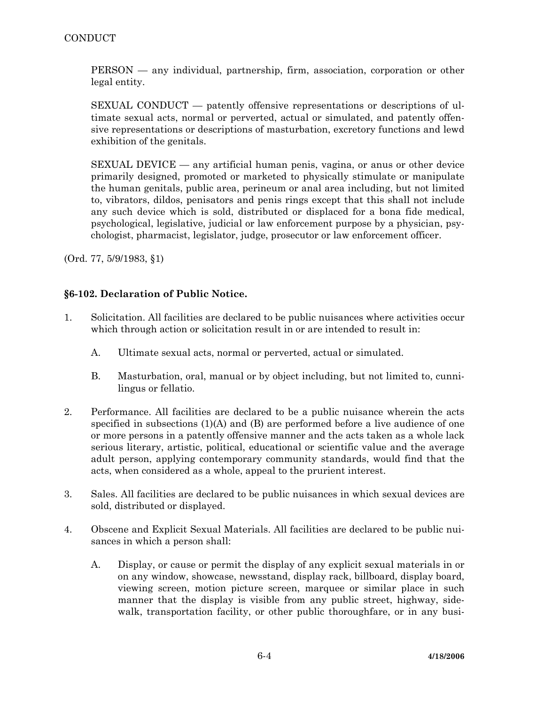PERSON — any individual, partnership, firm, association, corporation or other legal entity.

 SEXUAL CONDUCT — patently offensive representations or descriptions of ultimate sexual acts, normal or perverted, actual or simulated, and patently offensive representations or descriptions of masturbation, excretory functions and lewd exhibition of the genitals.

 SEXUAL DEVICE — any artificial human penis, vagina, or anus or other device primarily designed, promoted or marketed to physically stimulate or manipulate the human genitals, public area, perineum or anal area including, but not limited to, vibrators, dildos, penisators and penis rings except that this shall not include any such device which is sold, distributed or displaced for a bona fide medical, psychological, legislative, judicial or law enforcement purpose by a physician, psychologist, pharmacist, legislator, judge, prosecutor or law enforcement officer.

(Ord. 77, 5/9/1983, §1)

# **§6-102. Declaration of Public Notice.**

- 1. Solicitation. All facilities are declared to be public nuisances where activities occur which through action or solicitation result in or are intended to result in:
	- A. Ultimate sexual acts, normal or perverted, actual or simulated.
	- B. Masturbation, oral, manual or by object including, but not limited to, cunnilingus or fellatio.
- 2. Performance. All facilities are declared to be a public nuisance wherein the acts specified in subsections (1)(A) and (B) are performed before a live audience of one or more persons in a patently offensive manner and the acts taken as a whole lack serious literary, artistic, political, educational or scientific value and the average adult person, applying contemporary community standards, would find that the acts, when considered as a whole, appeal to the prurient interest.
- 3. Sales. All facilities are declared to be public nuisances in which sexual devices are sold, distributed or displayed.
- 4. Obscene and Explicit Sexual Materials. All facilities are declared to be public nuisances in which a person shall:
	- A. Display, or cause or permit the display of any explicit sexual materials in or on any window, showcase, newsstand, display rack, billboard, display board, viewing screen, motion picture screen, marquee or similar place in such manner that the display is visible from any public street, highway, sidewalk, transportation facility, or other public thoroughfare, or in any busi-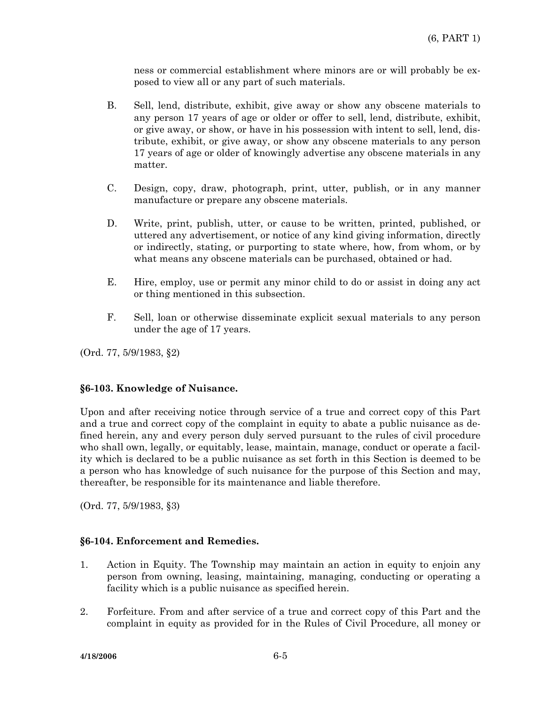ness or commercial establishment where minors are or will probably be exposed to view all or any part of such materials.

- B. Sell, lend, distribute, exhibit, give away or show any obscene materials to any person 17 years of age or older or offer to sell, lend, distribute, exhibit, or give away, or show, or have in his possession with intent to sell, lend, distribute, exhibit, or give away, or show any obscene materials to any person 17 years of age or older of knowingly advertise any obscene materials in any matter.
- C. Design, copy, draw, photograph, print, utter, publish, or in any manner manufacture or prepare any obscene materials.
- D. Write, print, publish, utter, or cause to be written, printed, published, or uttered any advertisement, or notice of any kind giving information, directly or indirectly, stating, or purporting to state where, how, from whom, or by what means any obscene materials can be purchased, obtained or had.
- E. Hire, employ, use or permit any minor child to do or assist in doing any act or thing mentioned in this subsection.
- F. Sell, loan or otherwise disseminate explicit sexual materials to any person under the age of 17 years.

(Ord. 77, 5/9/1983, §2)

#### **§6-103. Knowledge of Nuisance.**

Upon and after receiving notice through service of a true and correct copy of this Part and a true and correct copy of the complaint in equity to abate a public nuisance as defined herein, any and every person duly served pursuant to the rules of civil procedure who shall own, legally, or equitably, lease, maintain, manage, conduct or operate a facility which is declared to be a public nuisance as set forth in this Section is deemed to be a person who has knowledge of such nuisance for the purpose of this Section and may, thereafter, be responsible for its maintenance and liable therefore.

(Ord. 77, 5/9/1983, §3)

# **§6-104. Enforcement and Remedies.**

- 1. Action in Equity. The Township may maintain an action in equity to enjoin any person from owning, leasing, maintaining, managing, conducting or operating a facility which is a public nuisance as specified herein.
- 2. Forfeiture. From and after service of a true and correct copy of this Part and the complaint in equity as provided for in the Rules of Civil Procedure, all money or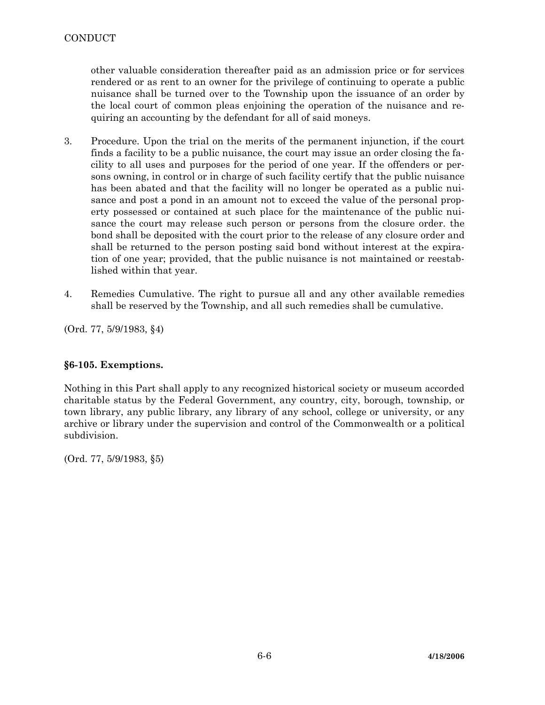other valuable consideration thereafter paid as an admission price or for services rendered or as rent to an owner for the privilege of continuing to operate a public nuisance shall be turned over to the Township upon the issuance of an order by the local court of common pleas enjoining the operation of the nuisance and requiring an accounting by the defendant for all of said moneys.

- 3. Procedure. Upon the trial on the merits of the permanent injunction, if the court finds a facility to be a public nuisance, the court may issue an order closing the facility to all uses and purposes for the period of one year. If the offenders or persons owning, in control or in charge of such facility certify that the public nuisance has been abated and that the facility will no longer be operated as a public nuisance and post a pond in an amount not to exceed the value of the personal property possessed or contained at such place for the maintenance of the public nuisance the court may release such person or persons from the closure order. the bond shall be deposited with the court prior to the release of any closure order and shall be returned to the person posting said bond without interest at the expiration of one year; provided, that the public nuisance is not maintained or reestablished within that year.
- 4. Remedies Cumulative. The right to pursue all and any other available remedies shall be reserved by the Township, and all such remedies shall be cumulative.

(Ord. 77, 5/9/1983, §4)

# **§6-105. Exemptions.**

Nothing in this Part shall apply to any recognized historical society or museum accorded charitable status by the Federal Government, any country, city, borough, township, or town library, any public library, any library of any school, college or university, or any archive or library under the supervision and control of the Commonwealth or a political subdivision.

(Ord. 77, 5/9/1983, §5)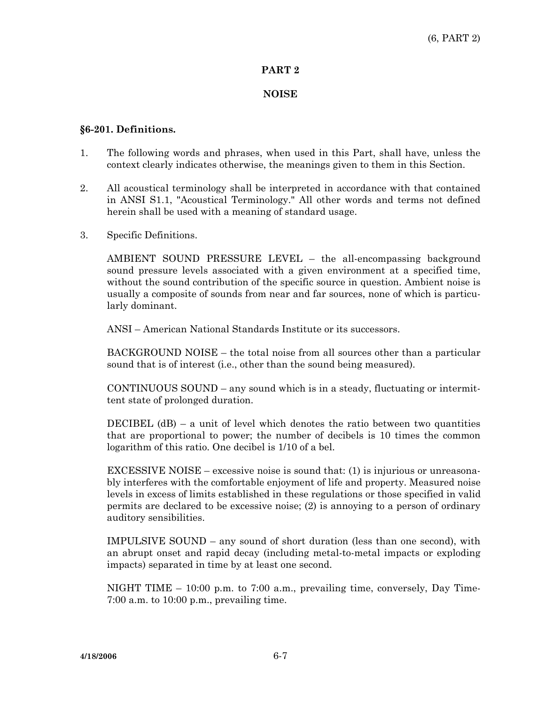#### **PART 2**

#### **NOISE**

#### **§6-201. Definitions.**

- 1. The following words and phrases, when used in this Part, shall have, unless the context clearly indicates otherwise, the meanings given to them in this Section.
- 2. All acoustical terminology shall be interpreted in accordance with that contained in ANSI S1.1, "Acoustical Terminology." All other words and terms not defined herein shall be used with a meaning of standard usage.
- 3. Specific Definitions.

 AMBIENT SOUND PRESSURE LEVEL – the all-encompassing background sound pressure levels associated with a given environment at a specified time, without the sound contribution of the specific source in question. Ambient noise is usually a composite of sounds from near and far sources, none of which is particularly dominant.

ANSI – American National Standards Institute or its successors.

 BACKGROUND NOISE – the total noise from all sources other than a particular sound that is of interest (i.e., other than the sound being measured).

 CONTINUOUS SOUND – any sound which is in a steady, fluctuating or intermittent state of prolonged duration.

DECIBEL  $(d)$  – a unit of level which denotes the ratio between two quantities that are proportional to power; the number of decibels is 10 times the common logarithm of this ratio. One decibel is 1/10 of a bel.

 EXCESSIVE NOISE – excessive noise is sound that: (1) is injurious or unreasonably interferes with the comfortable enjoyment of life and property. Measured noise levels in excess of limits established in these regulations or those specified in valid permits are declared to be excessive noise; (2) is annoying to a person of ordinary auditory sensibilities.

 IMPULSIVE SOUND – any sound of short duration (less than one second), with an abrupt onset and rapid decay (including metal-to-metal impacts or exploding impacts) separated in time by at least one second.

 NIGHT TIME – 10:00 p.m. to 7:00 a.m., prevailing time, conversely, Day Time-7:00 a.m. to 10:00 p.m., prevailing time.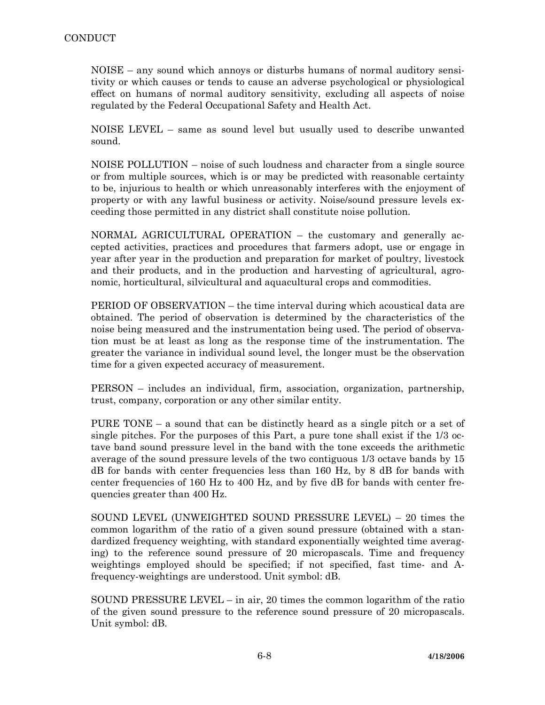NOISE – any sound which annoys or disturbs humans of normal auditory sensitivity or which causes or tends to cause an adverse psychological or physiological effect on humans of normal auditory sensitivity, excluding all aspects of noise regulated by the Federal Occupational Safety and Health Act.

 NOISE LEVEL – same as sound level but usually used to describe unwanted sound.

 NOISE POLLUTION – noise of such loudness and character from a single source or from multiple sources, which is or may be predicted with reasonable certainty to be, injurious to health or which unreasonably interferes with the enjoyment of property or with any lawful business or activity. Noise/sound pressure levels exceeding those permitted in any district shall constitute noise pollution.

 NORMAL AGRICULTURAL OPERATION – the customary and generally accepted activities, practices and procedures that farmers adopt, use or engage in year after year in the production and preparation for market of poultry, livestock and their products, and in the production and harvesting of agricultural, agronomic, horticultural, silvicultural and aquacultural crops and commodities.

 PERIOD OF OBSERVATION – the time interval during which acoustical data are obtained. The period of observation is determined by the characteristics of the noise being measured and the instrumentation being used. The period of observation must be at least as long as the response time of the instrumentation. The greater the variance in individual sound level, the longer must be the observation time for a given expected accuracy of measurement.

 PERSON – includes an individual, firm, association, organization, partnership, trust, company, corporation or any other similar entity.

 PURE TONE – a sound that can be distinctly heard as a single pitch or a set of single pitches. For the purposes of this Part, a pure tone shall exist if the 1/3 octave band sound pressure level in the band with the tone exceeds the arithmetic average of the sound pressure levels of the two contiguous 1/3 octave bands by 15 dB for bands with center frequencies less than 160 Hz, by 8 dB for bands with center frequencies of 160 Hz to 400 Hz, and by five dB for bands with center frequencies greater than 400 Hz.

 SOUND LEVEL (UNWEIGHTED SOUND PRESSURE LEVEL) – 20 times the common logarithm of the ratio of a given sound pressure (obtained with a standardized frequency weighting, with standard exponentially weighted time averaging) to the reference sound pressure of 20 micropascals. Time and frequency weightings employed should be specified; if not specified, fast time- and Afrequency-weightings are understood. Unit symbol: dB.

 SOUND PRESSURE LEVEL – in air, 20 times the common logarithm of the ratio of the given sound pressure to the reference sound pressure of 20 micropascals. Unit symbol: dB.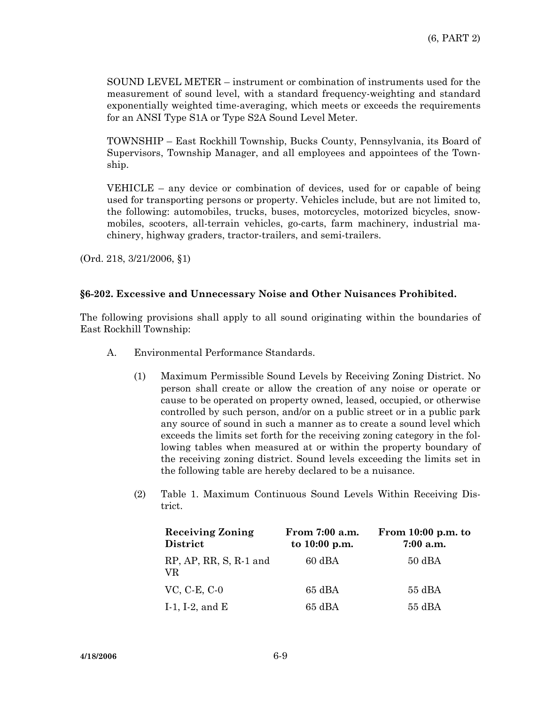SOUND LEVEL METER – instrument or combination of instruments used for the measurement of sound level, with a standard frequency-weighting and standard exponentially weighted time-averaging, which meets or exceeds the requirements for an ANSI Type S1A or Type S2A Sound Level Meter.

 TOWNSHIP – East Rockhill Township, Bucks County, Pennsylvania, its Board of Supervisors, Township Manager, and all employees and appointees of the Township.

 VEHICLE – any device or combination of devices, used for or capable of being used for transporting persons or property. Vehicles include, but are not limited to, the following: automobiles, trucks, buses, motorcycles, motorized bicycles, snowmobiles, scooters, all-terrain vehicles, go-carts, farm machinery, industrial machinery, highway graders, tractor-trailers, and semi-trailers.

(Ord. 218, 3/21/2006, §1)

### **§6-202. Excessive and Unnecessary Noise and Other Nuisances Prohibited.**

The following provisions shall apply to all sound originating within the boundaries of East Rockhill Township:

- A. Environmental Performance Standards.
	- (1) Maximum Permissible Sound Levels by Receiving Zoning District. No person shall create or allow the creation of any noise or operate or cause to be operated on property owned, leased, occupied, or otherwise controlled by such person, and/or on a public street or in a public park any source of sound in such a manner as to create a sound level which exceeds the limits set forth for the receiving zoning category in the following tables when measured at or within the property boundary of the receiving zoning district. Sound levels exceeding the limits set in the following table are hereby declared to be a nuisance.
	- (2) Table 1. Maximum Continuous Sound Levels Within Receiving District.

| <b>Receiving Zoning</b><br><b>District</b>   | From 7:00 a.m.<br>to 10:00 p.m. | From $10:00$ p.m. to<br>$7:00$ a.m. |
|----------------------------------------------|---------------------------------|-------------------------------------|
| $RP$ , $AP$ , $RR$ , $S$ , $R$ -1 and<br>VR. | $60$ dBA                        | $50$ dBA                            |
| $VC, C-E, C-0$                               | $65$ dBA                        | $55$ dBA                            |
| I-1, I-2, and $E$                            | $65$ dBA                        | $55$ dBA                            |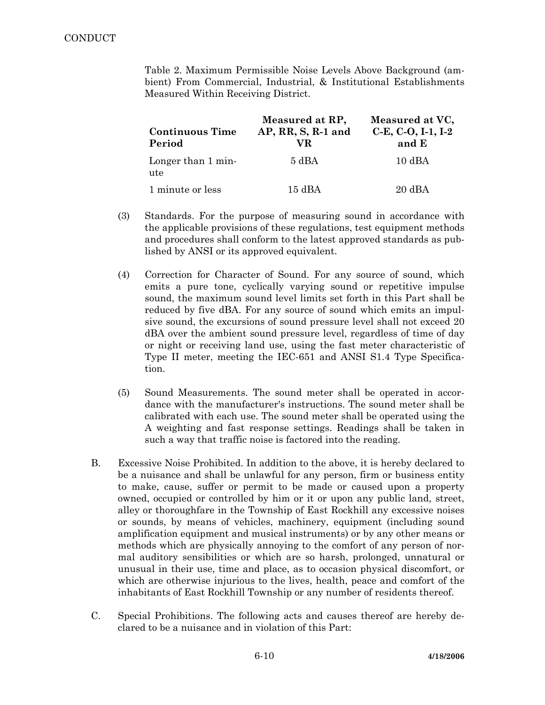Table 2. Maximum Permissible Noise Levels Above Background (ambient) From Commercial, Industrial, & Institutional Establishments Measured Within Receiving District.

| <b>Continuous Time</b><br>Period | Measured at RP,<br>$AP, RR, S, R-1$ and<br>VR. | Measured at VC,<br>C-E, C-O, I-1, I-2<br>and E |
|----------------------------------|------------------------------------------------|------------------------------------------------|
| Longer than 1 min-<br>ute        | 5 dBA                                          | $10 \text{ dBA}$                               |
| 1 minute or less                 | $15 \text{ dBA}$                               | 20 dBA                                         |

- (3) Standards. For the purpose of measuring sound in accordance with the applicable provisions of these regulations, test equipment methods and procedures shall conform to the latest approved standards as published by ANSI or its approved equivalent.
- (4) Correction for Character of Sound. For any source of sound, which emits a pure tone, cyclically varying sound or repetitive impulse sound, the maximum sound level limits set forth in this Part shall be reduced by five dBA. For any source of sound which emits an impulsive sound, the excursions of sound pressure level shall not exceed 20 dBA over the ambient sound pressure level, regardless of time of day or night or receiving land use, using the fast meter characteristic of Type II meter, meeting the IEC-651 and ANSI S1.4 Type Specification.
- (5) Sound Measurements. The sound meter shall be operated in accordance with the manufacturer's instructions. The sound meter shall be calibrated with each use. The sound meter shall be operated using the A weighting and fast response settings. Readings shall be taken in such a way that traffic noise is factored into the reading.
- B. Excessive Noise Prohibited. In addition to the above, it is hereby declared to be a nuisance and shall be unlawful for any person, firm or business entity to make, cause, suffer or permit to be made or caused upon a property owned, occupied or controlled by him or it or upon any public land, street, alley or thoroughfare in the Township of East Rockhill any excessive noises or sounds, by means of vehicles, machinery, equipment (including sound amplification equipment and musical instruments) or by any other means or methods which are physically annoying to the comfort of any person of normal auditory sensibilities or which are so harsh, prolonged, unnatural or unusual in their use, time and place, as to occasion physical discomfort, or which are otherwise injurious to the lives, health, peace and comfort of the inhabitants of East Rockhill Township or any number of residents thereof.
- C. Special Prohibitions. The following acts and causes thereof are hereby declared to be a nuisance and in violation of this Part: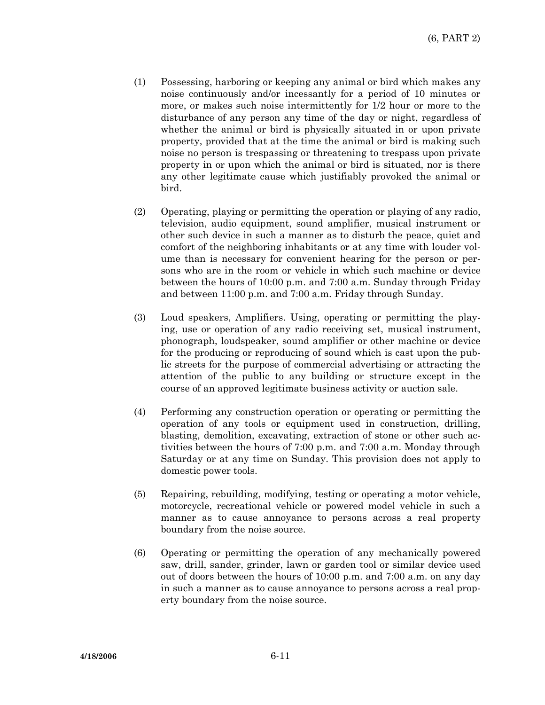- (1) Possessing, harboring or keeping any animal or bird which makes any noise continuously and/or incessantly for a period of 10 minutes or more, or makes such noise intermittently for 1/2 hour or more to the disturbance of any person any time of the day or night, regardless of whether the animal or bird is physically situated in or upon private property, provided that at the time the animal or bird is making such noise no person is trespassing or threatening to trespass upon private property in or upon which the animal or bird is situated, nor is there any other legitimate cause which justifiably provoked the animal or bird.
- (2) Operating, playing or permitting the operation or playing of any radio, television, audio equipment, sound amplifier, musical instrument or other such device in such a manner as to disturb the peace, quiet and comfort of the neighboring inhabitants or at any time with louder volume than is necessary for convenient hearing for the person or persons who are in the room or vehicle in which such machine or device between the hours of 10:00 p.m. and 7:00 a.m. Sunday through Friday and between 11:00 p.m. and 7:00 a.m. Friday through Sunday.
- (3) Loud speakers, Amplifiers. Using, operating or permitting the playing, use or operation of any radio receiving set, musical instrument, phonograph, loudspeaker, sound amplifier or other machine or device for the producing or reproducing of sound which is cast upon the public streets for the purpose of commercial advertising or attracting the attention of the public to any building or structure except in the course of an approved legitimate business activity or auction sale.
- (4) Performing any construction operation or operating or permitting the operation of any tools or equipment used in construction, drilling, blasting, demolition, excavating, extraction of stone or other such activities between the hours of 7:00 p.m. and 7:00 a.m. Monday through Saturday or at any time on Sunday. This provision does not apply to domestic power tools.
- (5) Repairing, rebuilding, modifying, testing or operating a motor vehicle, motorcycle, recreational vehicle or powered model vehicle in such a manner as to cause annoyance to persons across a real property boundary from the noise source.
- (6) Operating or permitting the operation of any mechanically powered saw, drill, sander, grinder, lawn or garden tool or similar device used out of doors between the hours of 10:00 p.m. and 7:00 a.m. on any day in such a manner as to cause annoyance to persons across a real property boundary from the noise source.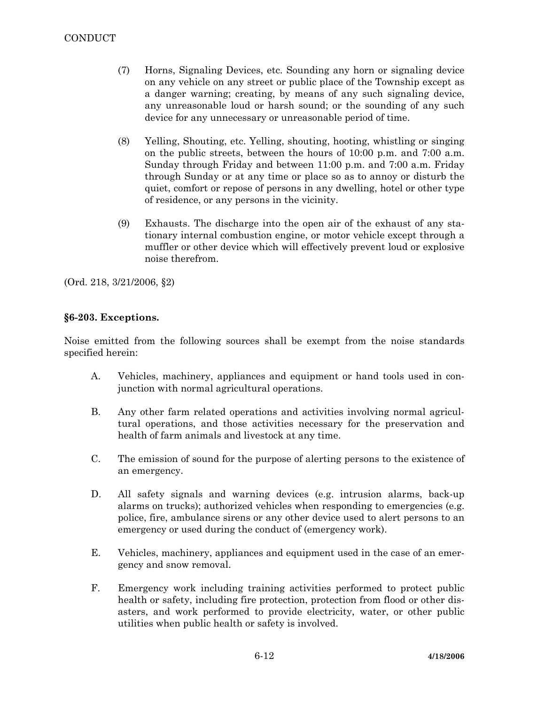- (7) Horns, Signaling Devices, etc. Sounding any horn or signaling device on any vehicle on any street or public place of the Township except as a danger warning; creating, by means of any such signaling device, any unreasonable loud or harsh sound; or the sounding of any such device for any unnecessary or unreasonable period of time.
- (8) Yelling, Shouting, etc. Yelling, shouting, hooting, whistling or singing on the public streets, between the hours of 10:00 p.m. and 7:00 a.m. Sunday through Friday and between 11:00 p.m. and 7:00 a.m. Friday through Sunday or at any time or place so as to annoy or disturb the quiet, comfort or repose of persons in any dwelling, hotel or other type of residence, or any persons in the vicinity.
- (9) Exhausts. The discharge into the open air of the exhaust of any stationary internal combustion engine, or motor vehicle except through a muffler or other device which will effectively prevent loud or explosive noise therefrom.

(Ord. 218, 3/21/2006, §2)

#### **§6-203. Exceptions.**

Noise emitted from the following sources shall be exempt from the noise standards specified herein:

- A. Vehicles, machinery, appliances and equipment or hand tools used in conjunction with normal agricultural operations.
- B. Any other farm related operations and activities involving normal agricultural operations, and those activities necessary for the preservation and health of farm animals and livestock at any time.
- C. The emission of sound for the purpose of alerting persons to the existence of an emergency.
- D. All safety signals and warning devices (e.g. intrusion alarms, back-up alarms on trucks); authorized vehicles when responding to emergencies (e.g. police, fire, ambulance sirens or any other device used to alert persons to an emergency or used during the conduct of (emergency work).
- E. Vehicles, machinery, appliances and equipment used in the case of an emergency and snow removal.
- F. Emergency work including training activities performed to protect public health or safety, including fire protection, protection from flood or other disasters, and work performed to provide electricity, water, or other public utilities when public health or safety is involved.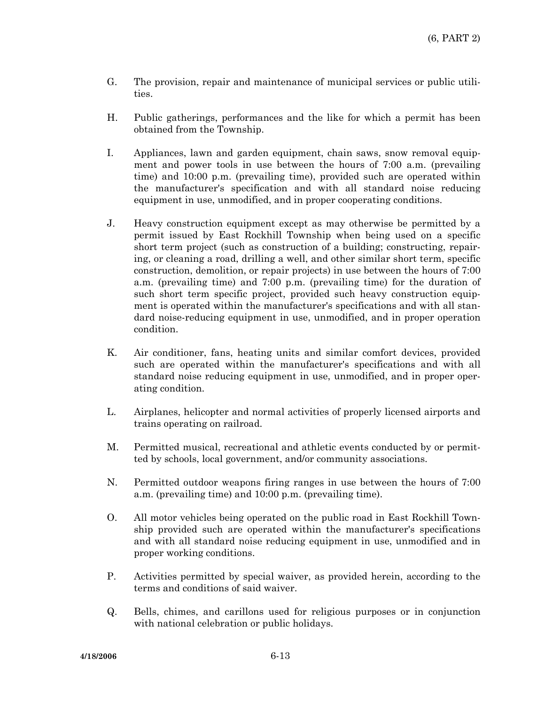- G. The provision, repair and maintenance of municipal services or public utilities.
- H. Public gatherings, performances and the like for which a permit has been obtained from the Township.
- I. Appliances, lawn and garden equipment, chain saws, snow removal equipment and power tools in use between the hours of 7:00 a.m. (prevailing time) and 10:00 p.m. (prevailing time), provided such are operated within the manufacturer's specification and with all standard noise reducing equipment in use, unmodified, and in proper cooperating conditions.
- J. Heavy construction equipment except as may otherwise be permitted by a permit issued by East Rockhill Township when being used on a specific short term project (such as construction of a building; constructing, repairing, or cleaning a road, drilling a well, and other similar short term, specific construction, demolition, or repair projects) in use between the hours of 7:00 a.m. (prevailing time) and 7:00 p.m. (prevailing time) for the duration of such short term specific project, provided such heavy construction equipment is operated within the manufacturer's specifications and with all standard noise-reducing equipment in use, unmodified, and in proper operation condition.
- K. Air conditioner, fans, heating units and similar comfort devices, provided such are operated within the manufacturer's specifications and with all standard noise reducing equipment in use, unmodified, and in proper operating condition.
- L. Airplanes, helicopter and normal activities of properly licensed airports and trains operating on railroad.
- M. Permitted musical, recreational and athletic events conducted by or permitted by schools, local government, and/or community associations.
- N. Permitted outdoor weapons firing ranges in use between the hours of 7:00 a.m. (prevailing time) and 10:00 p.m. (prevailing time).
- O. All motor vehicles being operated on the public road in East Rockhill Township provided such are operated within the manufacturer's specifications and with all standard noise reducing equipment in use, unmodified and in proper working conditions.
- P. Activities permitted by special waiver, as provided herein, according to the terms and conditions of said waiver.
- Q. Bells, chimes, and carillons used for religious purposes or in conjunction with national celebration or public holidays.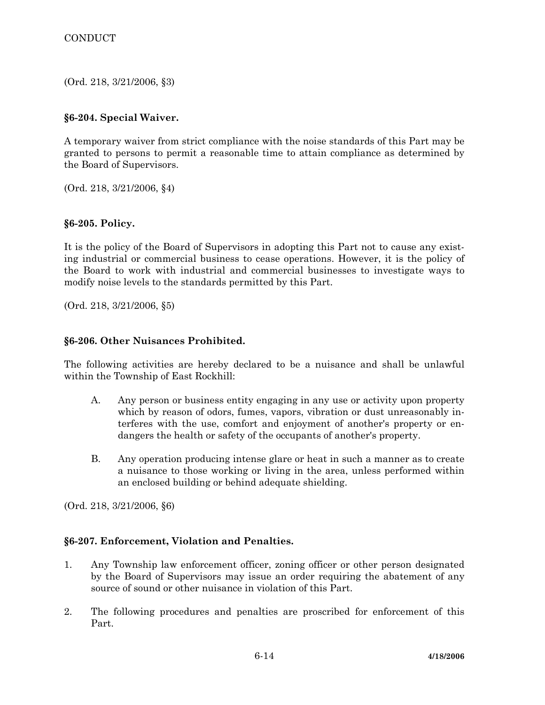(Ord. 218, 3/21/2006, §3)

# **§6-204. Special Waiver.**

A temporary waiver from strict compliance with the noise standards of this Part may be granted to persons to permit a reasonable time to attain compliance as determined by the Board of Supervisors.

(Ord. 218, 3/21/2006, §4)

# **§6-205. Policy.**

It is the policy of the Board of Supervisors in adopting this Part not to cause any existing industrial or commercial business to cease operations. However, it is the policy of the Board to work with industrial and commercial businesses to investigate ways to modify noise levels to the standards permitted by this Part.

(Ord. 218, 3/21/2006, §5)

### **§6-206. Other Nuisances Prohibited.**

The following activities are hereby declared to be a nuisance and shall be unlawful within the Township of East Rockhill:

- A. Any person or business entity engaging in any use or activity upon property which by reason of odors, fumes, vapors, vibration or dust unreasonably interferes with the use, comfort and enjoyment of another's property or endangers the health or safety of the occupants of another's property.
- B. Any operation producing intense glare or heat in such a manner as to create a nuisance to those working or living in the area, unless performed within an enclosed building or behind adequate shielding.

(Ord. 218, 3/21/2006, §6)

# **§6-207. Enforcement, Violation and Penalties.**

- 1. Any Township law enforcement officer, zoning officer or other person designated by the Board of Supervisors may issue an order requiring the abatement of any source of sound or other nuisance in violation of this Part.
- 2. The following procedures and penalties are proscribed for enforcement of this Part.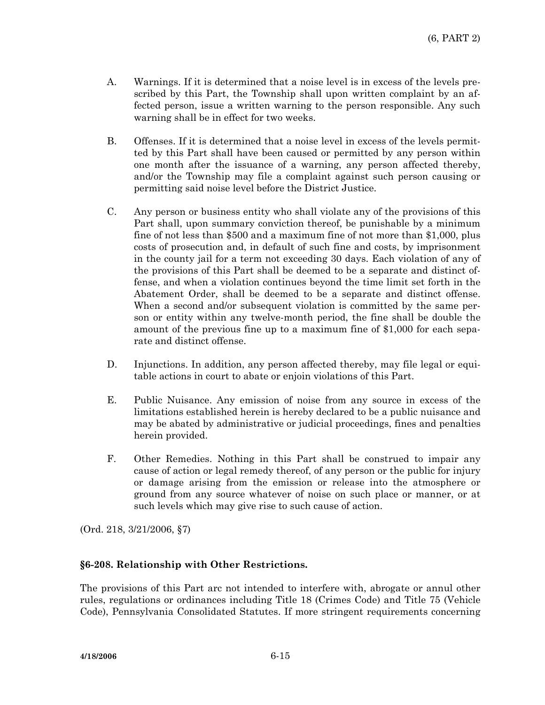- A. Warnings. If it is determined that a noise level is in excess of the levels prescribed by this Part, the Township shall upon written complaint by an affected person, issue a written warning to the person responsible. Any such warning shall be in effect for two weeks.
- B. Offenses. If it is determined that a noise level in excess of the levels permitted by this Part shall have been caused or permitted by any person within one month after the issuance of a warning, any person affected thereby, and/or the Township may file a complaint against such person causing or permitting said noise level before the District Justice.
- C. Any person or business entity who shall violate any of the provisions of this Part shall, upon summary conviction thereof, be punishable by a minimum fine of not less than \$500 and a maximum fine of not more than \$1,000, plus costs of prosecution and, in default of such fine and costs, by imprisonment in the county jail for a term not exceeding 30 days. Each violation of any of the provisions of this Part shall be deemed to be a separate and distinct offense, and when a violation continues beyond the time limit set forth in the Abatement Order, shall be deemed to be a separate and distinct offense. When a second and/or subsequent violation is committed by the same person or entity within any twelve-month period, the fine shall be double the amount of the previous fine up to a maximum fine of \$1,000 for each separate and distinct offense.
- D. Injunctions. In addition, any person affected thereby, may file legal or equitable actions in court to abate or enjoin violations of this Part.
- E. Public Nuisance. Any emission of noise from any source in excess of the limitations established herein is hereby declared to be a public nuisance and may be abated by administrative or judicial proceedings, fines and penalties herein provided.
- F. Other Remedies. Nothing in this Part shall be construed to impair any cause of action or legal remedy thereof, of any person or the public for injury or damage arising from the emission or release into the atmosphere or ground from any source whatever of noise on such place or manner, or at such levels which may give rise to such cause of action.

(Ord. 218, 3/21/2006, §7)

# **§6-208. Relationship with Other Restrictions.**

The provisions of this Part arc not intended to interfere with, abrogate or annul other rules, regulations or ordinances including Title 18 (Crimes Code) and Title 75 (Vehicle Code), Pennsylvania Consolidated Statutes. If more stringent requirements concerning